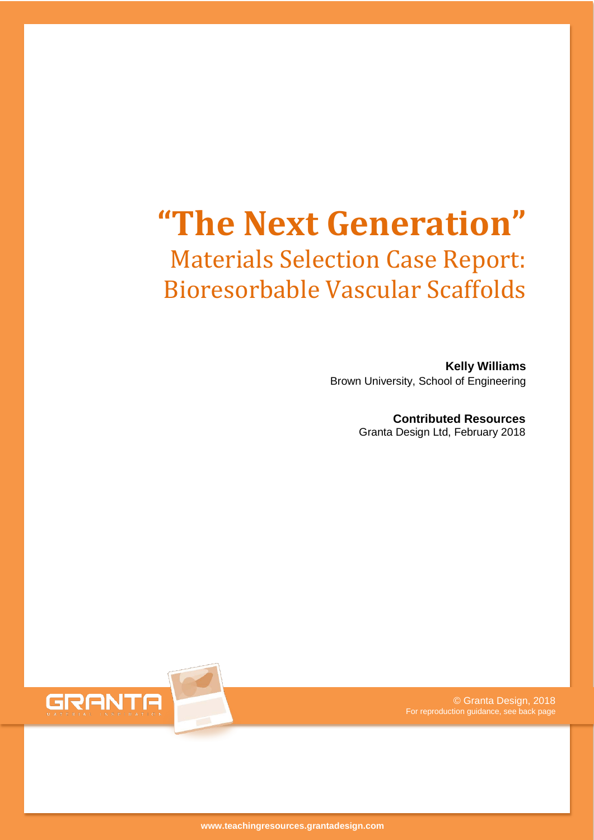# **"The Next Generation"** Materials Selection Case Report: Bioresorbable Vascular Scaffolds

**Kelly Williams** Brown University, School of Engineering

> **Contributed Resources** Granta Design Ltd, February 2018



© Granta Design, 2018 For reproduction guidance, see back page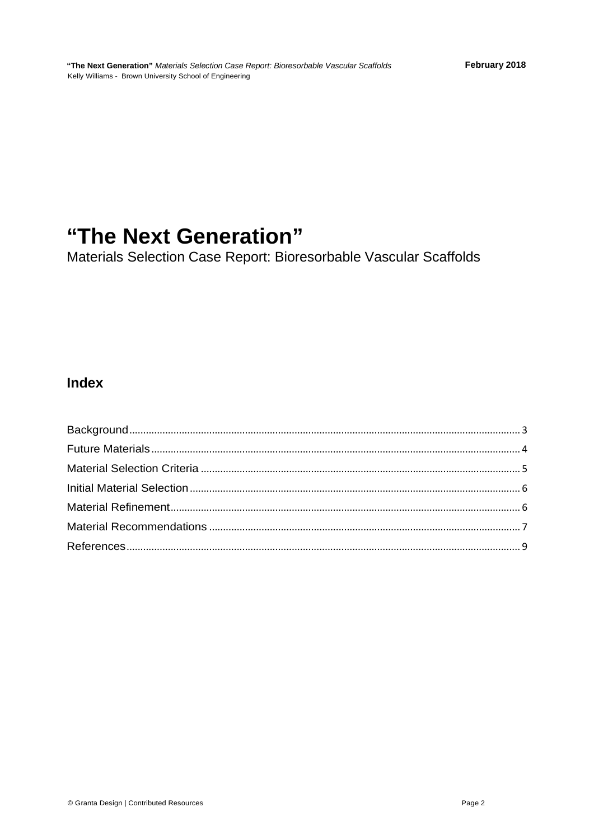## "The Next Generation"

Materials Selection Case Report: Bioresorbable Vascular Scaffolds

### **Index**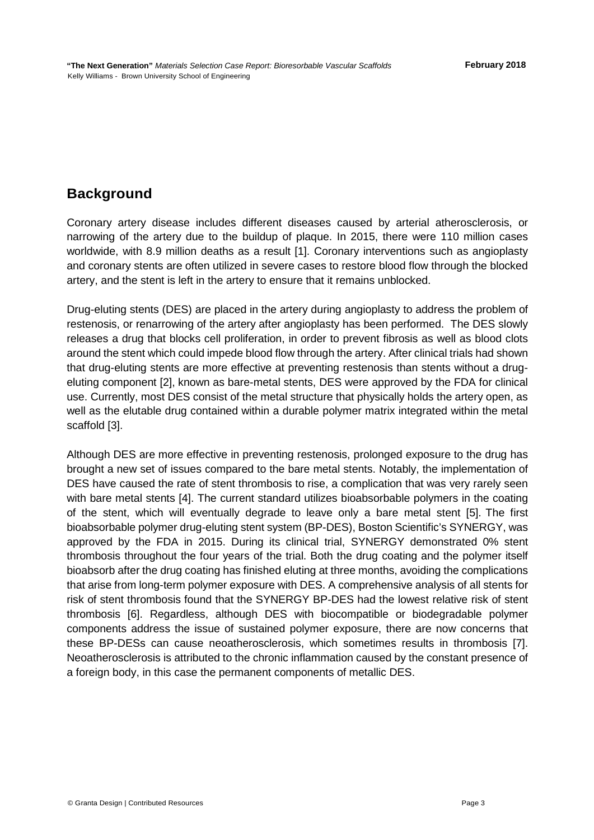## <span id="page-2-0"></span>**Background**

Coronary artery disease includes different diseases caused by arterial atherosclerosis, or narrowing of the artery due to the buildup of plaque. In 2015, there were 110 million cases worldwide, with 8.9 million deaths as a result [1]. Coronary interventions such as angioplasty and coronary stents are often utilized in severe cases to restore blood flow through the blocked artery, and the stent is left in the artery to ensure that it remains unblocked.

Drug-eluting stents (DES) are placed in the artery during angioplasty to address the problem of restenosis, or renarrowing of the artery after angioplasty has been performed. The DES slowly releases a drug that blocks cell proliferation, in order to prevent fibrosis as well as blood clots around the stent which could impede blood flow through the artery. After clinical trials had shown that drug-eluting stents are more effective at preventing restenosis than stents without a drugeluting component [2], known as bare-metal stents, DES were approved by the FDA for clinical use. Currently, most DES consist of the metal structure that physically holds the artery open, as well as the elutable drug contained within a durable polymer matrix integrated within the metal scaffold [3].

Although DES are more effective in preventing restenosis, prolonged exposure to the drug has brought a new set of issues compared to the bare metal stents. Notably, the implementation of DES have caused the rate of stent thrombosis to rise, a complication that was very rarely seen with bare metal stents [4]. The current standard utilizes bioabsorbable polymers in the coating of the stent, which will eventually degrade to leave only a bare metal stent [5]. The first bioabsorbable polymer drug-eluting stent system (BP-DES), Boston Scientific's SYNERGY, was approved by the FDA in 2015. During its clinical trial, SYNERGY demonstrated 0% stent thrombosis throughout the four years of the trial. Both the drug coating and the polymer itself bioabsorb after the drug coating has finished eluting at three months, avoiding the complications that arise from long-term polymer exposure with DES. A comprehensive analysis of all stents for risk of stent thrombosis found that the SYNERGY BP-DES had the lowest relative risk of stent thrombosis [6]. Regardless, although DES with biocompatible or biodegradable polymer components address the issue of sustained polymer exposure, there are now concerns that these BP-DESs can cause neoatherosclerosis, which sometimes results in thrombosis [7]. Neoatherosclerosis is attributed to the chronic inflammation caused by the constant presence of a foreign body, in this case the permanent components of metallic DES.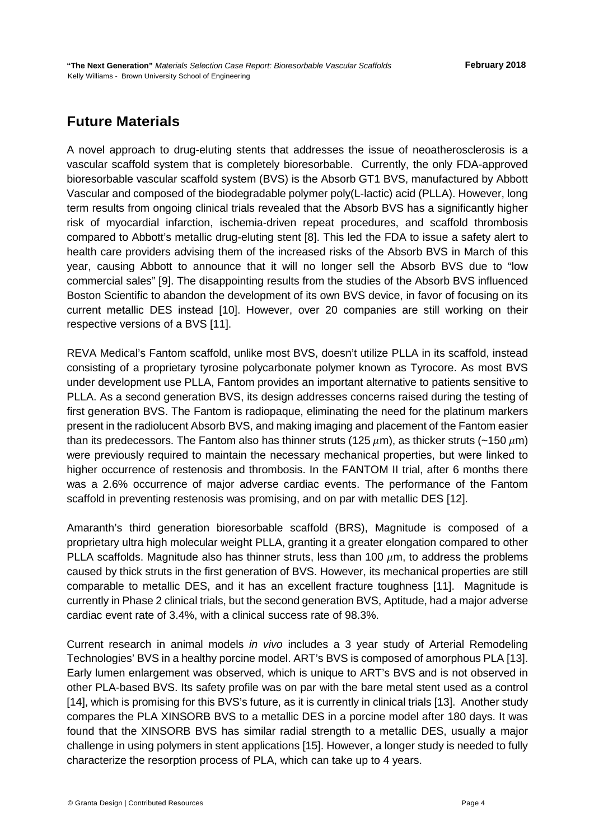## <span id="page-3-0"></span>**Future Materials**

A novel approach to drug-eluting stents that addresses the issue of neoatherosclerosis is a vascular scaffold system that is completely bioresorbable. Currently, the only FDA-approved bioresorbable vascular scaffold system (BVS) is the Absorb GT1 BVS, manufactured by Abbott Vascular and composed of the biodegradable polymer poly(L-lactic) acid (PLLA). However, long term results from ongoing clinical trials revealed that the Absorb BVS has a significantly higher risk of myocardial infarction, ischemia-driven repeat procedures, and scaffold thrombosis compared to Abbott's metallic drug-eluting stent [8]. This led the FDA to issue a safety alert to health care providers advising them of the increased risks of the Absorb BVS in March of this year, causing Abbott to announce that it will no longer sell the Absorb BVS due to "low commercial sales" [9]. The disappointing results from the studies of the Absorb BVS influenced Boston Scientific to abandon the development of its own BVS device, in favor of focusing on its current metallic DES instead [10]. However, over 20 companies are still working on their respective versions of a BVS [11].

REVA Medical's Fantom scaffold, unlike most BVS, doesn't utilize PLLA in its scaffold, instead consisting of a proprietary tyrosine polycarbonate polymer known as Tyrocore. As most BVS under development use PLLA, Fantom provides an important alternative to patients sensitive to PLLA. As a second generation BVS, its design addresses concerns raised during the testing of first generation BVS. The Fantom is radiopaque, eliminating the need for the platinum markers present in the radiolucent Absorb BVS, and making imaging and placement of the Fantom easier than its predecessors. The Fantom also has thinner struts (125  $\mu$ m), as thicker struts (~150  $\mu$ m) were previously required to maintain the necessary mechanical properties, but were linked to higher occurrence of restenosis and thrombosis. In the FANTOM II trial, after 6 months there was a 2.6% occurrence of major adverse cardiac events. The performance of the Fantom scaffold in preventing restenosis was promising, and on par with metallic DES [12].

Amaranth's third generation bioresorbable scaffold (BRS), Magnitude is composed of a proprietary ultra high molecular weight PLLA, granting it a greater elongation compared to other PLLA scaffolds. Magnitude also has thinner struts, less than 100  $\mu$ m, to address the problems caused by thick struts in the first generation of BVS. However, its mechanical properties are still comparable to metallic DES, and it has an excellent fracture toughness [11]. Magnitude is currently in Phase 2 clinical trials, but the second generation BVS, Aptitude, had a major adverse cardiac event rate of 3.4%, with a clinical success rate of 98.3%.

Current research in animal models *in vivo* includes a 3 year study of Arterial Remodeling Technologies' BVS in a healthy porcine model. ART's BVS is composed of amorphous PLA [13]. Early lumen enlargement was observed, which is unique to ART's BVS and is not observed in other PLA-based BVS. Its safety profile was on par with the bare metal stent used as a control [14], which is promising for this BVS's future, as it is currently in clinical trials [13]. Another study compares the PLA XINSORB BVS to a metallic DES in a porcine model after 180 days. It was found that the XINSORB BVS has similar radial strength to a metallic DES, usually a major challenge in using polymers in stent applications [15]. However, a longer study is needed to fully characterize the resorption process of PLA, which can take up to 4 years.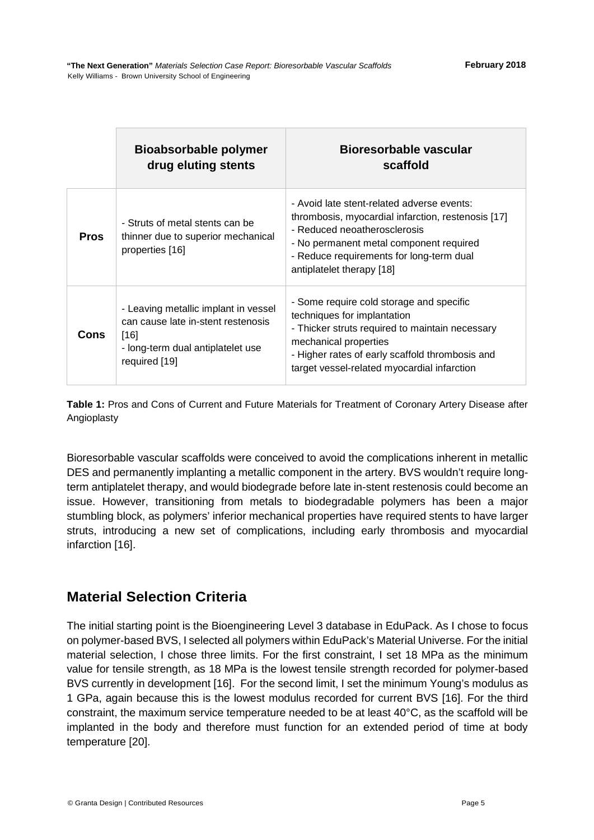|             | <b>Bioabsorbable polymer</b><br>drug eluting stents                                                                                        | Bioresorbable vascular<br>scaffold                                                                                                                                                                                                                    |
|-------------|--------------------------------------------------------------------------------------------------------------------------------------------|-------------------------------------------------------------------------------------------------------------------------------------------------------------------------------------------------------------------------------------------------------|
| <b>Pros</b> | - Struts of metal stents can be<br>thinner due to superior mechanical<br>properties [16]                                                   | - Avoid late stent-related adverse events:<br>thrombosis, myocardial infarction, restenosis [17]<br>- Reduced neoatherosclerosis<br>- No permanent metal component required<br>- Reduce requirements for long-term dual<br>antiplatelet therapy [18]  |
| Cons        | - Leaving metallic implant in vessel<br>can cause late in-stent restenosis<br>$[16]$<br>- long-term dual antiplatelet use<br>required [19] | - Some require cold storage and specific<br>techniques for implantation<br>- Thicker struts required to maintain necessary<br>mechanical properties<br>- Higher rates of early scaffold thrombosis and<br>target vessel-related myocardial infarction |

**Table 1:** Pros and Cons of Current and Future Materials for Treatment of Coronary Artery Disease after Angioplasty

Bioresorbable vascular scaffolds were conceived to avoid the complications inherent in metallic DES and permanently implanting a metallic component in the artery. BVS wouldn't require longterm antiplatelet therapy, and would biodegrade before late in-stent restenosis could become an issue. However, transitioning from metals to biodegradable polymers has been a major stumbling block, as polymers' inferior mechanical properties have required stents to have larger struts, introducing a new set of complications, including early thrombosis and myocardial infarction [16].

#### <span id="page-4-0"></span>**Material Selection Criteria**

The initial starting point is the Bioengineering Level 3 database in EduPack. As I chose to focus on polymer-based BVS, I selected all polymers within EduPack's Material Universe. For the initial material selection, I chose three limits. For the first constraint, I set 18 MPa as the minimum value for tensile strength, as 18 MPa is the lowest tensile strength recorded for polymer-based BVS currently in development [16]. For the second limit, I set the minimum Young's modulus as 1 GPa, again because this is the lowest modulus recorded for current BVS [16]. For the third constraint, the maximum service temperature needed to be at least 40°C, as the scaffold will be implanted in the body and therefore must function for an extended period of time at body temperature [20].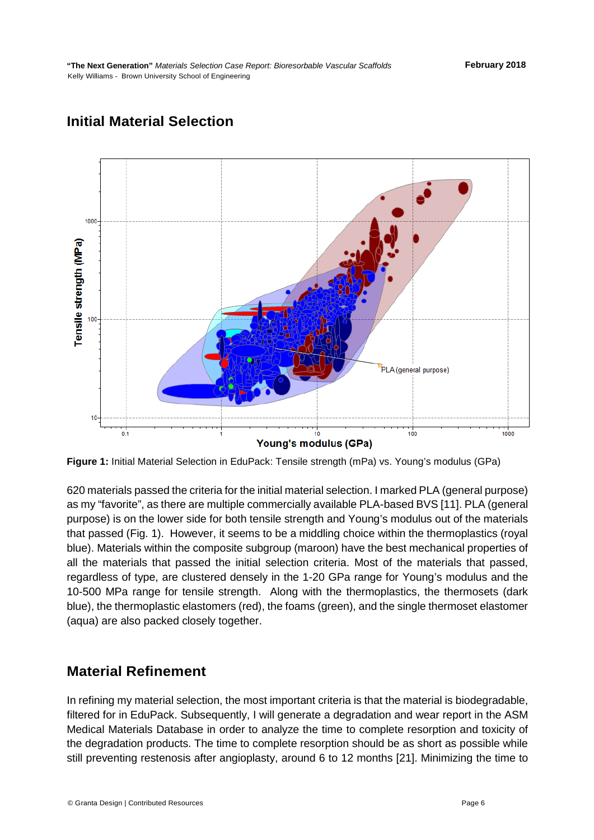

## <span id="page-5-0"></span>**Initial Material Selection**

**Figure 1:** Initial Material Selection in EduPack: Tensile strength (mPa) vs. Young's modulus (GPa)

620 materials passed the criteria for the initial material selection. I marked PLA (general purpose) as my "favorite", as there are multiple commercially available PLA-based BVS [11]. PLA (general purpose) is on the lower side for both tensile strength and Young's modulus out of the materials that passed (Fig. 1). However, it seems to be a middling choice within the thermoplastics (royal blue). Materials within the composite subgroup (maroon) have the best mechanical properties of all the materials that passed the initial selection criteria. Most of the materials that passed, regardless of type, are clustered densely in the 1-20 GPa range for Young's modulus and the 10-500 MPa range for tensile strength. Along with the thermoplastics, the thermosets (dark blue), the thermoplastic elastomers (red), the foams (green), and the single thermoset elastomer (aqua) are also packed closely together.

#### <span id="page-5-1"></span>**Material Refinement**

In refining my material selection, the most important criteria is that the material is biodegradable, filtered for in EduPack. Subsequently, I will generate a degradation and wear report in the ASM Medical Materials Database in order to analyze the time to complete resorption and toxicity of the degradation products. The time to complete resorption should be as short as possible while still preventing restenosis after angioplasty, around 6 to 12 months [21]. Minimizing the time to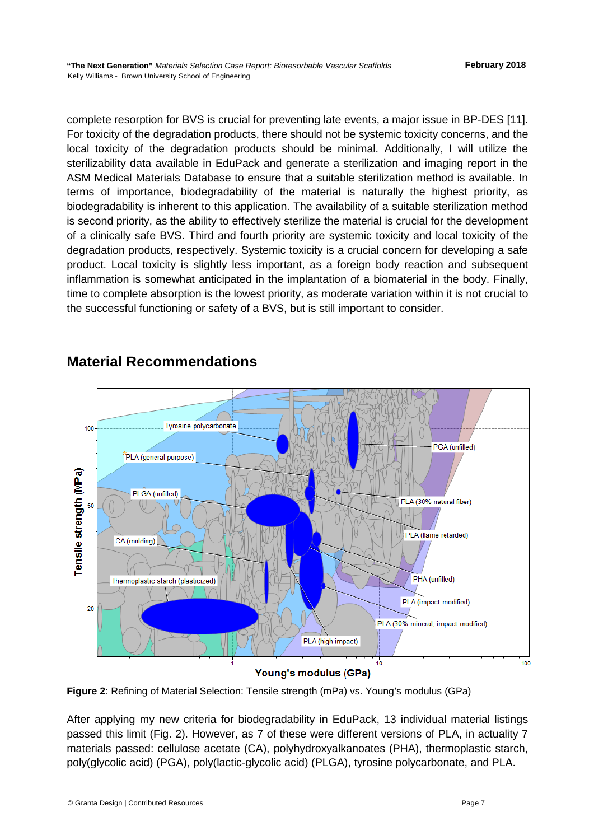complete resorption for BVS is crucial for preventing late events, a major issue in BP-DES [11]. For toxicity of the degradation products, there should not be systemic toxicity concerns, and the local toxicity of the degradation products should be minimal. Additionally, I will utilize the sterilizability data available in EduPack and generate a sterilization and imaging report in the ASM Medical Materials Database to ensure that a suitable sterilization method is available. In terms of importance, biodegradability of the material is naturally the highest priority, as biodegradability is inherent to this application. The availability of a suitable sterilization method is second priority, as the ability to effectively sterilize the material is crucial for the development of a clinically safe BVS. Third and fourth priority are systemic toxicity and local toxicity of the degradation products, respectively. Systemic toxicity is a crucial concern for developing a safe product. Local toxicity is slightly less important, as a foreign body reaction and subsequent inflammation is somewhat anticipated in the implantation of a biomaterial in the body. Finally, time to complete absorption is the lowest priority, as moderate variation within it is not crucial to the successful functioning or safety of a BVS, but is still important to consider.



## <span id="page-6-0"></span>**Material Recommendations**

#### **Figure 2**: Refining of Material Selection: Tensile strength (mPa) vs. Young's modulus (GPa)

After applying my new criteria for biodegradability in EduPack, 13 individual material listings passed this limit (Fig. 2). However, as 7 of these were different versions of PLA, in actuality 7 materials passed: cellulose acetate (CA), polyhydroxyalkanoates (PHA), thermoplastic starch, poly(glycolic acid) (PGA), poly(lactic-glycolic acid) (PLGA), tyrosine polycarbonate, and PLA.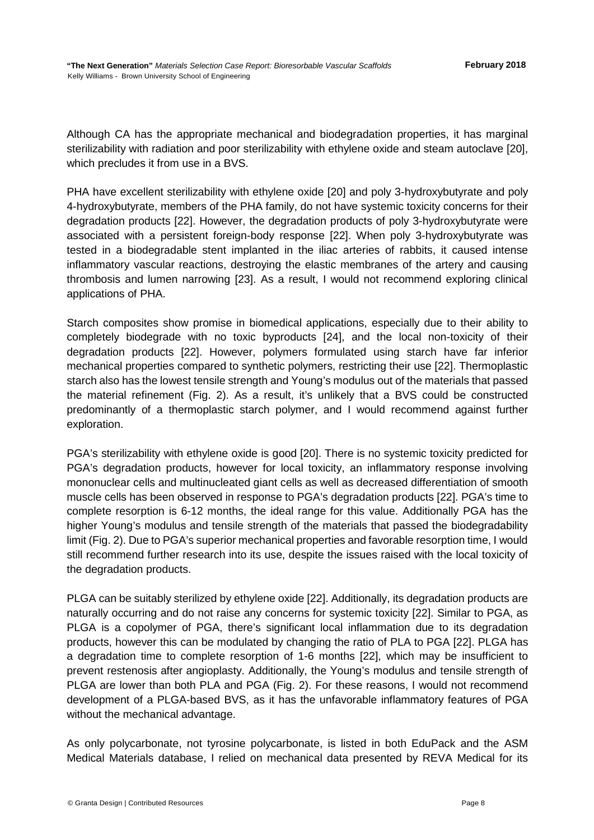Although CA has the appropriate mechanical and biodegradation properties, it has marginal sterilizability with radiation and poor sterilizability with ethylene oxide and steam autoclave [20], which precludes it from use in a BVS.

PHA have excellent sterilizability with ethylene oxide [20] and poly 3-hydroxybutyrate and poly 4-hydroxybutyrate, members of the PHA family, do not have systemic toxicity concerns for their degradation products [22]. However, the degradation products of poly 3-hydroxybutyrate were associated with a persistent foreign-body response [22]. When poly 3-hydroxybutyrate was tested in a biodegradable stent implanted in the iliac arteries of rabbits, it caused intense inflammatory vascular reactions, destroying the elastic membranes of the artery and causing thrombosis and lumen narrowing [23]. As a result, I would not recommend exploring clinical applications of PHA.

Starch composites show promise in biomedical applications, especially due to their ability to completely biodegrade with no toxic byproducts [24], and the local non-toxicity of their degradation products [22]. However, polymers formulated using starch have far inferior mechanical properties compared to synthetic polymers, restricting their use [22]. Thermoplastic starch also has the lowest tensile strength and Young's modulus out of the materials that passed the material refinement (Fig. 2). As a result, it's unlikely that a BVS could be constructed predominantly of a thermoplastic starch polymer, and I would recommend against further exploration.

PGA's sterilizability with ethylene oxide is good [20]. There is no systemic toxicity predicted for PGA's degradation products, however for local toxicity, an inflammatory response involving mononuclear cells and multinucleated giant cells as well as decreased differentiation of smooth muscle cells has been observed in response to PGA's degradation products [22]. PGA's time to complete resorption is 6-12 months, the ideal range for this value. Additionally PGA has the higher Young's modulus and tensile strength of the materials that passed the biodegradability limit (Fig. 2). Due to PGA's superior mechanical properties and favorable resorption time, I would still recommend further research into its use, despite the issues raised with the local toxicity of the degradation products.

PLGA can be suitably sterilized by ethylene oxide [22]. Additionally, its degradation products are naturally occurring and do not raise any concerns for systemic toxicity [22]. Similar to PGA, as PLGA is a copolymer of PGA, there's significant local inflammation due to its degradation products, however this can be modulated by changing the ratio of PLA to PGA [22]. PLGA has a degradation time to complete resorption of 1-6 months [22], which may be insufficient to prevent restenosis after angioplasty. Additionally, the Young's modulus and tensile strength of PLGA are lower than both PLA and PGA (Fig. 2). For these reasons, I would not recommend development of a PLGA-based BVS, as it has the unfavorable inflammatory features of PGA without the mechanical advantage.

As only polycarbonate, not tyrosine polycarbonate, is listed in both EduPack and the ASM Medical Materials database, I relied on mechanical data presented by REVA Medical for its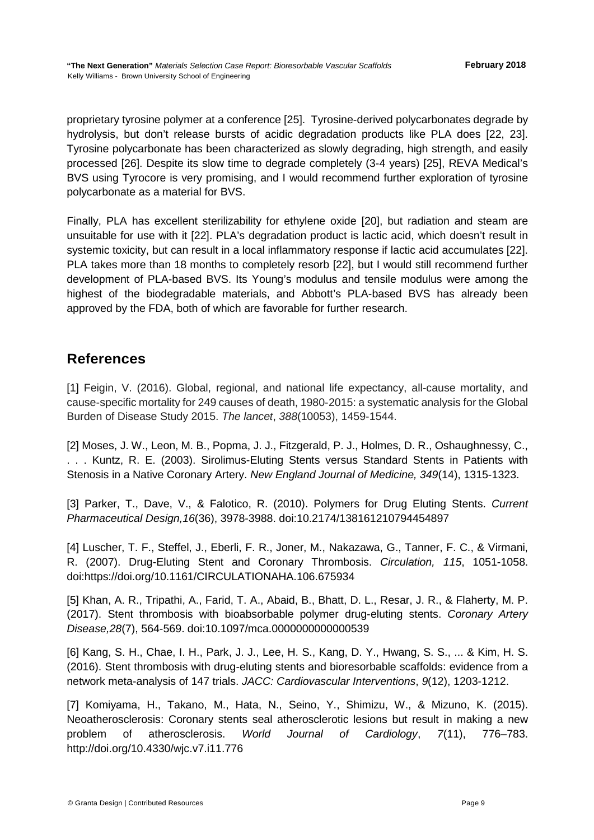proprietary tyrosine polymer at a conference [25]. Tyrosine-derived polycarbonates degrade by hydrolysis, but don't release bursts of acidic degradation products like PLA does [22, 23]. Tyrosine polycarbonate has been characterized as slowly degrading, high strength, and easily processed [26]. Despite its slow time to degrade completely (3-4 years) [25], REVA Medical's BVS using Tyrocore is very promising, and I would recommend further exploration of tyrosine polycarbonate as a material for BVS.

Finally, PLA has excellent sterilizability for ethylene oxide [20], but radiation and steam are unsuitable for use with it [22]. PLA's degradation product is lactic acid, which doesn't result in systemic toxicity, but can result in a local inflammatory response if lactic acid accumulates [22]. PLA takes more than 18 months to completely resorb [22], but I would still recommend further development of PLA-based BVS. Its Young's modulus and tensile modulus were among the highest of the biodegradable materials, and Abbott's PLA-based BVS has already been approved by the FDA, both of which are favorable for further research.

#### <span id="page-8-0"></span>**References**

[1] Feigin, V. (2016). Global, regional, and national life expectancy, all-cause mortality, and cause-specific mortality for 249 causes of death, 1980-2015: a systematic analysis for the Global Burden of Disease Study 2015. *The lancet*, *388*(10053), 1459-1544.

[2] Moses, J. W., Leon, M. B., Popma, J. J., Fitzgerald, P. J., Holmes, D. R., Oshaughnessy, C., . . . Kuntz, R. E. (2003). Sirolimus-Eluting Stents versus Standard Stents in Patients with Stenosis in a Native Coronary Artery. *New England Journal of Medicine, 349*(14), 1315-1323.

[3] Parker, T., Dave, V., & Falotico, R. (2010). Polymers for Drug Eluting Stents. *Current Pharmaceutical Design,16*(36), 3978-3988. doi:10.2174/138161210794454897

[4] Luscher, T. F., Steffel, J., Eberli, F. R., Joner, M., Nakazawa, G., Tanner, F. C., & Virmani, R. (2007). Drug-Eluting Stent and Coronary Thrombosis. *Circulation, 115*, 1051-1058. doi:https://doi.org/10.1161/CIRCULATIONAHA.106.675934

[5] Khan, A. R., Tripathi, A., Farid, T. A., Abaid, B., Bhatt, D. L., Resar, J. R., & Flaherty, M. P. (2017). Stent thrombosis with bioabsorbable polymer drug-eluting stents. *Coronary Artery Disease,28*(7), 564-569. doi:10.1097/mca.0000000000000539

[6] Kang, S. H., Chae, I. H., Park, J. J., Lee, H. S., Kang, D. Y., Hwang, S. S., ... & Kim, H. S. (2016). Stent thrombosis with drug-eluting stents and bioresorbable scaffolds: evidence from a network meta-analysis of 147 trials. *JACC: Cardiovascular Interventions*, *9*(12), 1203-1212.

[7] Komiyama, H., Takano, M., Hata, N., Seino, Y., Shimizu, W., & Mizuno, K. (2015). Neoatherosclerosis: Coronary stents seal atherosclerotic lesions but result in making a new problem of atherosclerosis. *World Journal of Cardiology*, *7*(11), 776–783. http://doi.org/10.4330/wjc.v7.i11.776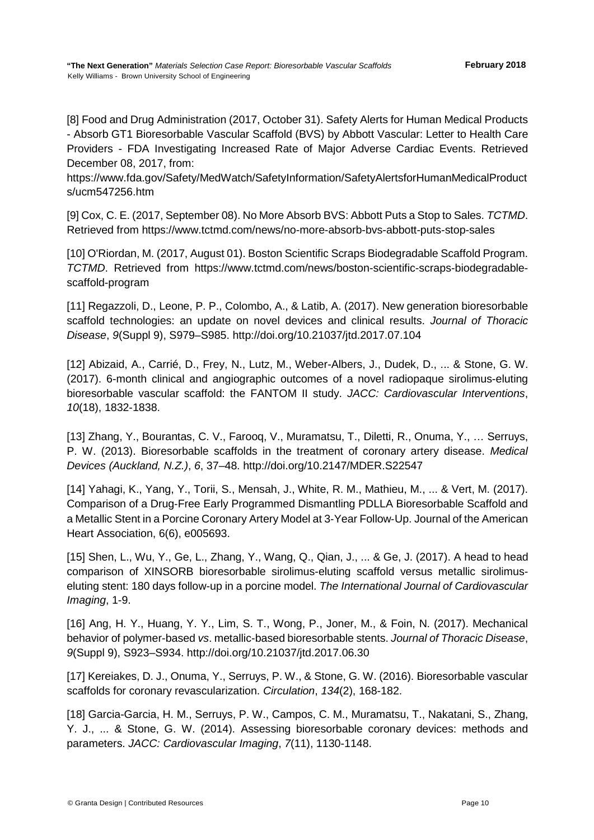[8] Food and Drug Administration (2017, October 31). Safety Alerts for Human Medical Products - Absorb GT1 Bioresorbable Vascular Scaffold (BVS) by Abbott Vascular: Letter to Health Care Providers - FDA Investigating Increased Rate of Major Adverse Cardiac Events. Retrieved December 08, 2017, from:

https://www.fda.gov/Safety/MedWatch/SafetyInformation/SafetyAlertsforHumanMedicalProduct s/ucm547256.htm

[9] Cox, C. E. (2017, September 08). No More Absorb BVS: Abbott Puts a Stop to Sales. *TCTMD*. Retrieved from https://www.tctmd.com/news/no-more-absorb-bvs-abbott-puts-stop-sales

[10] O'Riordan, M. (2017, August 01). Boston Scientific Scraps Biodegradable Scaffold Program. *TCTMD*. Retrieved from https://www.tctmd.com/news/boston-scientific-scraps-biodegradablescaffold-program

[11] Regazzoli, D., Leone, P. P., Colombo, A., & Latib, A. (2017). New generation bioresorbable scaffold technologies: an update on novel devices and clinical results. *Journal of Thoracic Disease*, *9*(Suppl 9), S979–S985. http://doi.org/10.21037/jtd.2017.07.104

[12] Abizaid, A., Carrié, D., Frey, N., Lutz, M., Weber-Albers, J., Dudek, D., ... & Stone, G. W. (2017). 6-month clinical and angiographic outcomes of a novel radiopaque sirolimus-eluting bioresorbable vascular scaffold: the FANTOM II study. *JACC: Cardiovascular Interventions*, *10*(18), 1832-1838.

[13] Zhang, Y., Bourantas, C. V., Farooq, V., Muramatsu, T., Diletti, R., Onuma, Y., … Serruys, P. W. (2013). Bioresorbable scaffolds in the treatment of coronary artery disease. *Medical Devices (Auckland, N.Z.)*, *6*, 37–48. http://doi.org/10.2147/MDER.S22547

[14] Yahagi, K., Yang, Y., Torii, S., Mensah, J., White, R. M., Mathieu, M., ... & Vert, M. (2017). Comparison of a Drug‐Free Early Programmed Dismantling PDLLA Bioresorbable Scaffold and a Metallic Stent in a Porcine Coronary Artery Model at 3‐Year Follow‐Up. Journal of the American Heart Association, 6(6), e005693.

[15] Shen, L., Wu, Y., Ge, L., Zhang, Y., Wang, Q., Qian, J., ... & Ge, J. (2017). A head to head comparison of XINSORB bioresorbable sirolimus-eluting scaffold versus metallic sirolimuseluting stent: 180 days follow-up in a porcine model. *The International Journal of Cardiovascular Imaging*, 1-9.

[16] Ang, H. Y., Huang, Y. Y., Lim, S. T., Wong, P., Joner, M., & Foin, N. (2017). Mechanical behavior of polymer-based *vs*. metallic-based bioresorbable stents. *Journal of Thoracic Disease*, *9*(Suppl 9), S923–S934. http://doi.org/10.21037/jtd.2017.06.30

[17] Kereiakes, D. J., Onuma, Y., Serruys, P. W., & Stone, G. W. (2016). Bioresorbable vascular scaffolds for coronary revascularization. *Circulation*, *134*(2), 168-182.

[18] Garcia-Garcia, H. M., Serruys, P. W., Campos, C. M., Muramatsu, T., Nakatani, S., Zhang, Y. J., ... & Stone, G. W. (2014). Assessing bioresorbable coronary devices: methods and parameters. *JACC: Cardiovascular Imaging*, *7*(11), 1130-1148.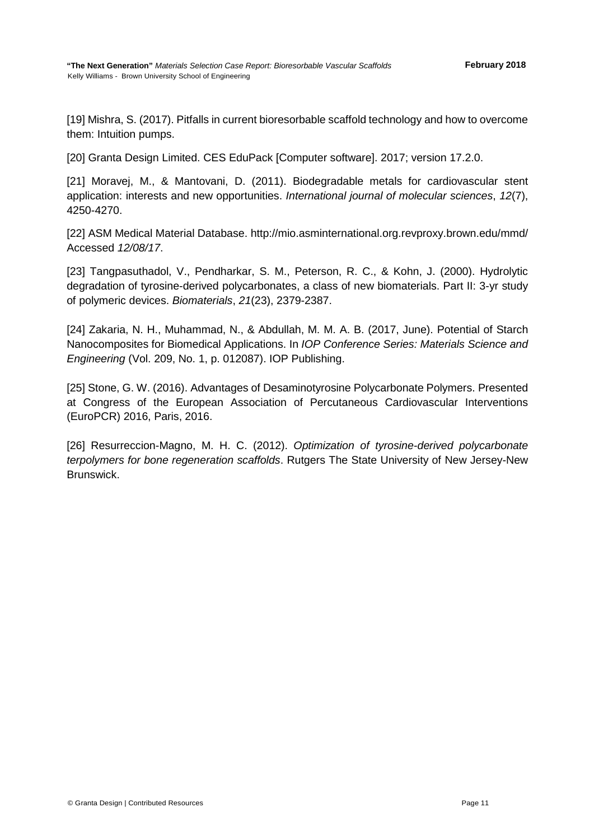[19] Mishra, S. (2017). Pitfalls in current bioresorbable scaffold technology and how to overcome them: Intuition pumps.

[20] Granta Design Limited. CES EduPack [Computer software]. 2017; version 17.2.0.

[21] Moravej, M., & Mantovani, D. (2011). Biodegradable metals for cardiovascular stent application: interests and new opportunities. *International journal of molecular sciences*, *12*(7), 4250-4270.

[22] ASM Medical Material Database. http://mio.asminternational.org.revproxy.brown.edu/mmd/ Accessed *12/08/17*.

[23] Tangpasuthadol, V., Pendharkar, S. M., Peterson, R. C., & Kohn, J. (2000). Hydrolytic degradation of tyrosine-derived polycarbonates, a class of new biomaterials. Part II: 3-yr study of polymeric devices. *Biomaterials*, *21*(23), 2379-2387.

[24] Zakaria, N. H., Muhammad, N., & Abdullah, M. M. A. B. (2017, June). Potential of Starch Nanocomposites for Biomedical Applications. In *IOP Conference Series: Materials Science and Engineering* (Vol. 209, No. 1, p. 012087). IOP Publishing.

[25] Stone, G. W. (2016). Advantages of Desaminotyrosine Polycarbonate Polymers. Presented at Congress of the European Association of Percutaneous Cardiovascular Interventions (EuroPCR) 2016, Paris, 2016.

[26] Resurreccion-Magno, M. H. C. (2012). *Optimization of tyrosine-derived polycarbonate terpolymers for bone regeneration scaffolds*. Rutgers The State University of New Jersey-New Brunswick.